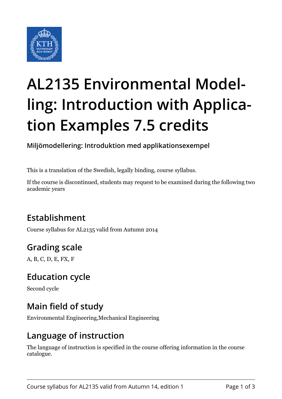

# **AL2135 Environmental Modelling: Introduction with Application Examples 7.5 credits**

**Miljömodellering: Introduktion med applikationsexempel**

This is a translation of the Swedish, legally binding, course syllabus.

If the course is discontinued, students may request to be examined during the following two academic years

## **Establishment**

Course syllabus for AL2135 valid from Autumn 2014

## **Grading scale**

A, B, C, D, E, FX, F

### **Education cycle**

Second cycle

## **Main field of study**

Environmental Engineering,Mechanical Engineering

#### **Language of instruction**

The language of instruction is specified in the course offering information in the course catalogue.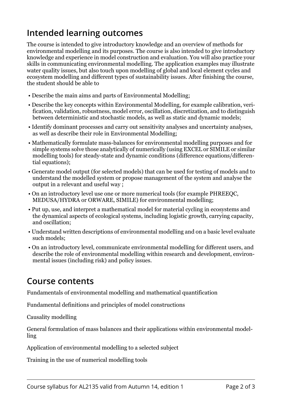### **Intended learning outcomes**

The course is intended to give introductory knowledge and an overview of methods for environmental modelling and its purposes. The course is also intended to give introductory knowledge and experience in model construction and evaluation. You will also practice your skills in communicating environmental modelling. The application examples may illustrate water quality issues, but also touch upon modelling of global and local element cycles and ecosystem modelling and different types of sustainability issues. After finishing the course, the student should be able to

- Describe the main aims and parts of Environmental Modelling;
- Describe the key concepts within Environmental Modelling, for example calibration, verification, validation, robustness, model error, oscillation, discretization, and to distinguish between deterministic and stochastic models, as well as static and dynamic models;
- Identify dominant processes and carry out sensitivity analyses and uncertainty analyses, as well as describe their role in Environmental Modelling;
- Mathematically formulate mass-balances for environmental modelling purposes and for simple systems solve those analytically of numerically (using EXCEL or SIMILE or similar modelling tools) for steady-state and dynamic conditions (difference equations/differential equations);
- Generate model output (for selected models) that can be used for testing of models and to understand the modelled system or propose management of the system and analyse the output in a relevant and useful way ;
- On an introductory level use one or more numerical tools (for example PHREEQC, MEDUSA/HYDRA or ORWARE, SIMILE) for environmental modelling;
- Put up, use, and interpret a mathematical model for material cycling in ecosystems and the dynamical aspects of ecological systems, including logistic growth, carrying capacity, and oscillation;
- Understand written descriptions of environmental modelling and on a basic level evaluate such models;
- On an introductory level, communicate environmental modelling for different users, and describe the role of environmental modelling within research and development, environmental issues (including risk) and policy issues.

#### **Course contents**

Fundamentals of environmental modelling and mathematical quantification

Fundamental definitions and principles of model constructions

Causality modelling

General formulation of mass balances and their applications within environmental modelling

Application of environmental modelling to a selected subject

Training in the use of numerical modelling tools